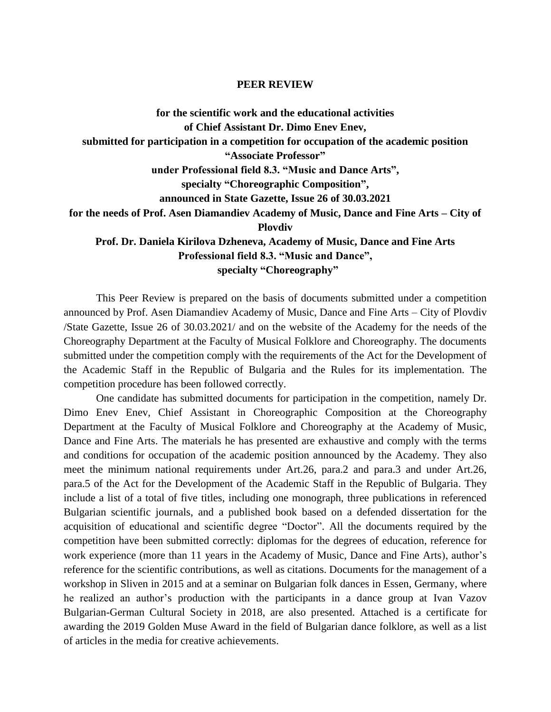## **PEER REVIEW**

**for the scientific work and the educational activities of Chief Assistant Dr. Dimo Enev Enev, submitted for participation in a competition for occupation of the academic position "Associate Professor" under Professional field 8.3. "Music and Dance Arts", specialty "Choreographic Composition", announced in State Gazette, Issue 26 of 30.03.2021 for the needs of Prof. Asen Diamandiev Academy of Music, Dance and Fine Arts – City of Plovdiv Prof. Dr. Daniela Kirilova Dzheneva, Academy of Music, Dance and Fine Arts Professional field 8.3. "Music and Dance",**

 **specialty "Choreography"**

This Peer Review is prepared on the basis of documents submitted under a competition announced by Prof. Asen Diamandiev Academy of Music, Dance and Fine Arts – City of Plovdiv /State Gazette, Issue 26 of 30.03.2021/ and on the website of the Academy for the needs of the Choreography Department at the Faculty of Musical Folklore and Choreography. The documents submitted under the competition comply with the requirements of the Act for the Development of the Academic Staff in the Republic of Bulgaria and the Rules for its implementation. The competition procedure has been followed correctly.

One candidate has submitted documents for participation in the competition, namely Dr. Dimo Enev Enev, Chief Assistant in Choreographic Composition at the Choreography Department at the Faculty of Musical Folklore and Choreography at the Academy of Music, Dance and Fine Arts. The materials he has presented are exhaustive and comply with the terms and conditions for occupation of the academic position announced by the Academy. They also meet the minimum national requirements under Art.26, para.2 and para.3 and under Art.26, para.5 of the Act for the Development of the Academic Staff in the Republic of Bulgaria. They include a list of a total of five titles, including one monograph, three publications in referenced Bulgarian scientific journals, and a published book based on a defended dissertation for the acquisition of educational and scientific degree "Doctor". All the documents required by the competition have been submitted correctly: diplomas for the degrees of education, reference for work experience (more than 11 years in the Academy of Music, Dance and Fine Arts), author's reference for the scientific contributions, as well as citations. Documents for the management of a workshop in Sliven in 2015 and at a seminar on Bulgarian folk dances in Essen, Germany, where he realized an author's production with the participants in a dance group at Ivan Vazov Bulgarian-German Cultural Society in 2018, are also presented. Attached is a certificate for awarding the 2019 Golden Muse Award in the field of Bulgarian dance folklore, as well as a list of articles in the media for creative achievements.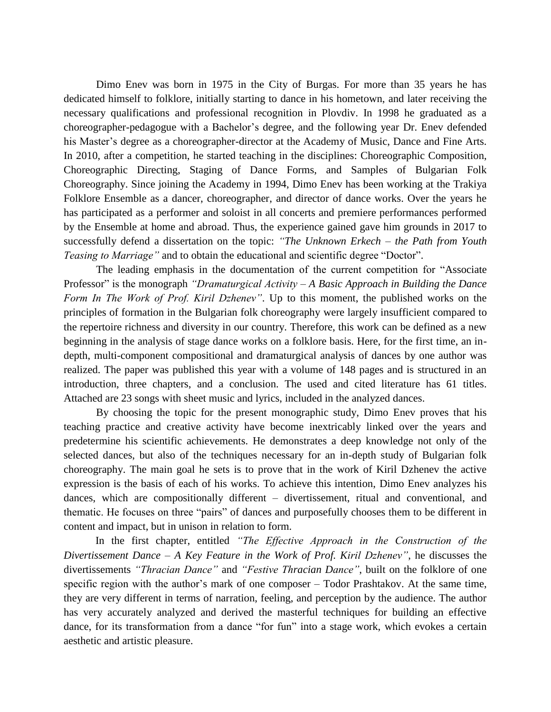Dimo Enev was born in 1975 in the City of Burgas. For more than 35 years he has dedicated himself to folklore, initially starting to dance in his hometown, and later receiving the necessary qualifications and professional recognition in Plovdiv. In 1998 he graduated as a choreographer-pedagogue with a Bachelor's degree, and the following year Dr. Enev defended his Master's degree as a choreographer-director at the Academy of Music, Dance and Fine Arts. In 2010, after a competition, he started teaching in the disciplines: Choreographic Composition, Choreographic Directing, Staging of Dance Forms, and Samples of Bulgarian Folk Choreography. Since joining the Academy in 1994, Dimo Enev has been working at the Trakiya Folklore Ensemble as a dancer, choreographer, and director of dance works. Over the years he has participated as a performer and soloist in all concerts and premiere performances performed by the Ensemble at home and abroad. Thus, the experience gained gave him grounds in 2017 to successfully defend a dissertation on the topic: *"The Unknown Erkech – the Path from Youth Teasing to Marriage"* and to obtain the educational and scientific degree "Doctor".

The leading emphasis in the documentation of the current competition for "Associate Professor" is the monograph *"Dramaturgical Activity – A Basic Approach in Building the Dance Form In The Work of Prof. Kiril Dzhenev"*. Up to this moment, the published works on the principles of formation in the Bulgarian folk choreography were largely insufficient compared to the repertoire richness and diversity in our country. Therefore, this work can be defined as a new beginning in the analysis of stage dance works on a folklore basis. Here, for the first time, an indepth, multi-component compositional and dramaturgical analysis of dances by one author was realized. The paper was published this year with a volume of 148 pages and is structured in an introduction, three chapters, and a conclusion. The used and cited literature has 61 titles. Attached are 23 songs with sheet music and lyrics, included in the analyzed dances.

By choosing the topic for the present monographic study, Dimo Enev proves that his teaching practice and creative activity have become inextricably linked over the years and predetermine his scientific achievements. He demonstrates a deep knowledge not only of the selected dances, but also of the techniques necessary for an in-depth study of Bulgarian folk choreography. The main goal he sets is to prove that in the work of Kiril Dzhenev the active expression is the basis of each of his works. To achieve this intention, Dimo Enev analyzes his dances, which are compositionally different – divertissement, ritual and conventional, and thematic. He focuses on three "pairs" of dances and purposefully chooses them to be different in content and impact, but in unison in relation to form.

In the first chapter, entitled *"The Effective Approach in the Construction of the Divertissement Dance – A Key Feature in the Work of Prof. Kiril Dzhenev"*, he discusses the divertissements *"Thracian Dance"* and *"Festive Thracian Dance"*, built on the folklore of one specific region with the author's mark of one composer – Todor Prashtakov. At the same time, they are very different in terms of narration, feeling, and perception by the audience. The author has very accurately analyzed and derived the masterful techniques for building an effective dance, for its transformation from a dance "for fun" into a stage work, which evokes a certain aesthetic and artistic pleasure.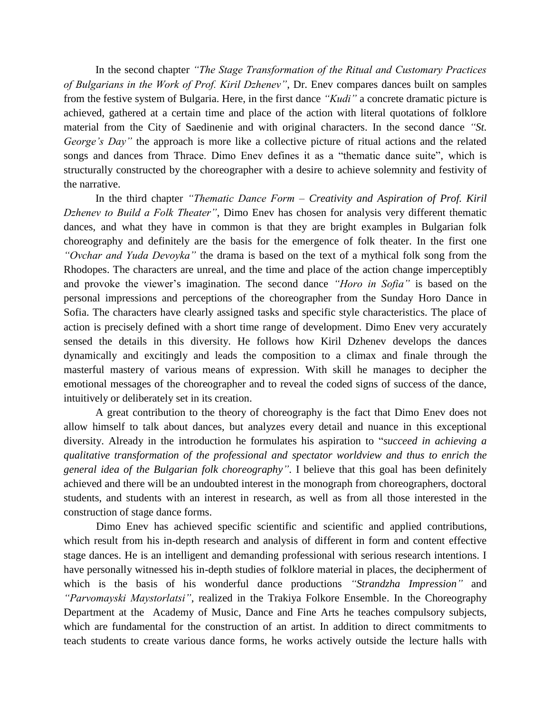In the second chapter *"The Stage Transformation of the Ritual and Customary Practices of Bulgarians in the Work of Prof. Kiril Dzhenev"*, Dr. Enev compares dances built on samples from the festive system of Bulgaria. Here, in the first dance *"Kudi"* a concrete dramatic picture is achieved, gathered at a certain time and place of the action with literal quotations of folklore material from the City of Saedinenie and with original characters. In the second dance *"St. George's Day*" the approach is more like a collective picture of ritual actions and the related songs and dances from Thrace. Dimo Enev defines it as a "thematic dance suite", which is structurally constructed by the choreographer with a desire to achieve solemnity and festivity of the narrative.

In the third chapter *"Thematic Dance Form – Creativity and Aspiration of Prof. Kiril Dzhenev to Build a Folk Theater"*, Dimo Enev has chosen for analysis very different thematic dances, and what they have in common is that they are bright examples in Bulgarian folk choreography and definitely are the basis for the emergence of folk theater. In the first one *"Ovchar and Yuda Devoyka"* the drama is based on the text of a mythical folk song from the Rhodopes. The characters are unreal, and the time and place of the action change imperceptibly and provoke the viewer's imagination. The second dance *"Horo in Sofia"* is based on the personal impressions and perceptions of the choreographer from the Sunday Horo Dance in Sofia. The characters have clearly assigned tasks and specific style characteristics. The place of action is precisely defined with a short time range of development. Dimo Enev very accurately sensed the details in this diversity. He follows how Kiril Dzhenev develops the dances dynamically and excitingly and leads the composition to a climax and finale through the masterful mastery of various means of expression. With skill he manages to decipher the emotional messages of the choreographer and to reveal the coded signs of success of the dance, intuitively or deliberately set in its creation.

A great contribution to the theory of choreography is the fact that Dimo Enev does not allow himself to talk about dances, but analyzes every detail and nuance in this exceptional diversity. Already in the introduction he formulates his aspiration to "*succeed in achieving a qualitative transformation of the professional and spectator worldview and thus to enrich the general idea of the Bulgarian folk choreography"*. I believe that this goal has been definitely achieved and there will be an undoubted interest in the monograph from choreographers, doctoral students, and students with an interest in research, as well as from all those interested in the construction of stage dance forms.

Dimo Enev has achieved specific scientific and scientific and applied contributions, which result from his in-depth research and analysis of different in form and content effective stage dances. He is an intelligent and demanding professional with serious research intentions. I have personally witnessed his in-depth studies of folklore material in places, the decipherment of which is the basis of his wonderful dance productions *"Strandzha Impression"* and *"Parvomayski Maystorlatsi"*, realized in the Trakiya Folkore Ensemble. In the Choreography Department at the Academy of Music, Dance and Fine Arts he teaches compulsory subjects, which are fundamental for the construction of an artist. In addition to direct commitments to teach students to create various dance forms, he works actively outside the lecture halls with